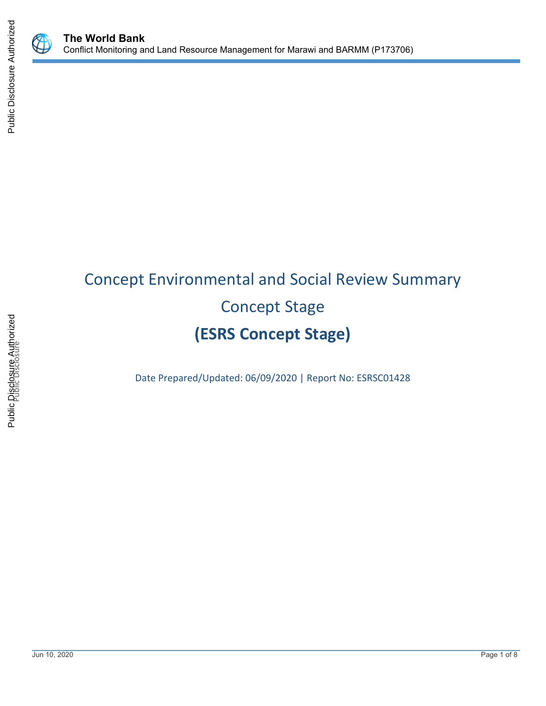



# Concept Environmental and Social Review Summary Concept Stage **(ESRS Concept Stage)**

Date Prepared/Updated: 06/09/2020 | Report No: ESRSC01428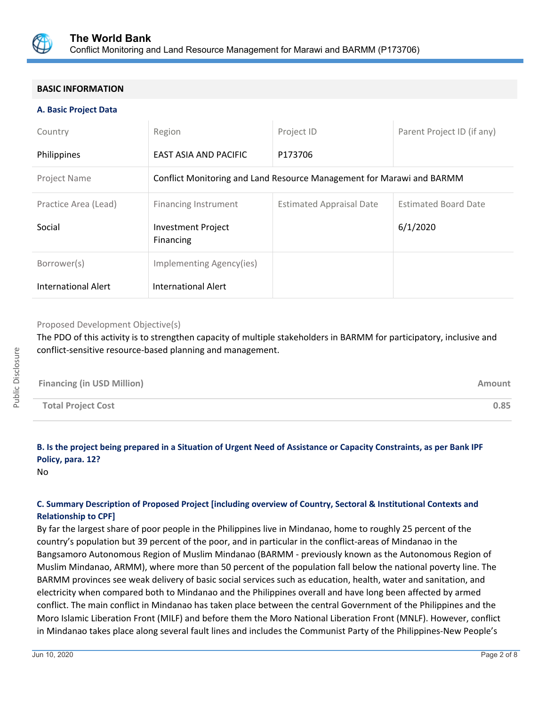

# **BASIC INFORMATION**

## **A. Basic Project Data**

| Country                    | Region                                                                | Project ID                      | Parent Project ID (if any)  |  |  |
|----------------------------|-----------------------------------------------------------------------|---------------------------------|-----------------------------|--|--|
| Philippines                | EAST ASIA AND PACIFIC                                                 | P173706                         |                             |  |  |
| Project Name               | Conflict Monitoring and Land Resource Management for Marawi and BARMM |                                 |                             |  |  |
| Practice Area (Lead)       | <b>Financing Instrument</b>                                           | <b>Estimated Appraisal Date</b> | <b>Estimated Board Date</b> |  |  |
| Social                     | <b>Investment Project</b><br>Financing                                |                                 | 6/1/2020                    |  |  |
| Borrower(s)                | Implementing Agency(ies)                                              |                                 |                             |  |  |
| <b>International Alert</b> | <b>International Alert</b>                                            |                                 |                             |  |  |

## Proposed Development Objective(s)

The PDO of this activity is to strengthen capacity of multiple stakeholders in BARMM for participatory, inclusive and conflict-sensitive resource-based planning and management.

| <b>Financing (in USD Million)</b> | Amount |
|-----------------------------------|--------|
| <b>Total Project Cost</b>         | 0.85   |

# **B. Is the project being prepared in a Situation of Urgent Need of Assistance or Capacity Constraints, as per Bank IPF Policy, para. 12?**

No

# **C. Summary Description of Proposed Project [including overview of Country, Sectoral & Institutional Contexts and Relationship to CPF]**

By far the largest share of poor people in the Philippines live in Mindanao, home to roughly 25 percent of the country's population but 39 percent of the poor, and in particular in the conflict-areas of Mindanao in the Bangsamoro Autonomous Region of Muslim Mindanao (BARMM - previously known as the Autonomous Region of Muslim Mindanao, ARMM), where more than 50 percent of the population fall below the national poverty line. The BARMM provinces see weak delivery of basic social services such as education, health, water and sanitation, and electricity when compared both to Mindanao and the Philippines overall and have long been affected by armed conflict. The main conflict in Mindanao has taken place between the central Government of the Philippines and the Moro Islamic Liberation Front (MILF) and before them the Moro National Liberation Front (MNLF). However, conflict in Mindanao takes place along several fault lines and includes the Communist Party of the Philippines-New People's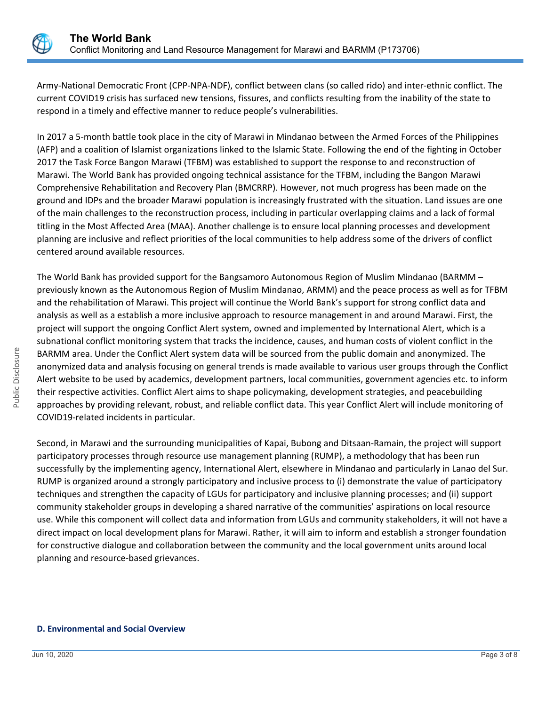

Army-National Democratic Front (CPP-NPA-NDF), conflict between clans (so called rido) and inter-ethnic conflict. The current COVID19 crisis has surfaced new tensions, fissures, and conflicts resulting from the inability of the state to respond in a timely and effective manner to reduce people's vulnerabilities.

In 2017 a 5-month battle took place in the city of Marawi in Mindanao between the Armed Forces of the Philippines (AFP) and a coalition of Islamist organizations linked to the Islamic State. Following the end of the fighting in October 2017 the Task Force Bangon Marawi (TFBM) was established to support the response to and reconstruction of Marawi. The World Bank has provided ongoing technical assistance for the TFBM, including the Bangon Marawi Comprehensive Rehabilitation and Recovery Plan (BMCRRP). However, not much progress has been made on the ground and IDPs and the broader Marawi population is increasingly frustrated with the situation. Land issues are one of the main challenges to the reconstruction process, including in particular overlapping claims and a lack of formal titling in the Most Affected Area (MAA). Another challenge is to ensure local planning processes and development planning are inclusive and reflect priorities of the local communities to help address some of the drivers of conflict centered around available resources.

The World Bank has provided support for the Bangsamoro Autonomous Region of Muslim Mindanao (BARMM – previously known as the Autonomous Region of Muslim Mindanao, ARMM) and the peace process as well as for TFBM and the rehabilitation of Marawi. This project will continue the World Bank's support for strong conflict data and analysis as well as a establish a more inclusive approach to resource management in and around Marawi. First, the project will support the ongoing Conflict Alert system, owned and implemented by International Alert, which is a subnational conflict monitoring system that tracks the incidence, causes, and human costs of violent conflict in the BARMM area. Under the Conflict Alert system data will be sourced from the public domain and anonymized. The anonymized data and analysis focusing on general trends is made available to various user groups through the Conflict Alert website to be used by academics, development partners, local communities, government agencies etc. to inform their respective activities. Conflict Alert aims to shape policymaking, development strategies, and peacebuilding approaches by providing relevant, robust, and reliable conflict data. This year Conflict Alert will include monitoring of COVID19-related incidents in particular.

Second, in Marawi and the surrounding municipalities of Kapai, Bubong and Ditsaan-Ramain, the project will support participatory processes through resource use management planning (RUMP), a methodology that has been run successfully by the implementing agency, International Alert, elsewhere in Mindanao and particularly in Lanao del Sur. RUMP is organized around a strongly participatory and inclusive process to (i) demonstrate the value of participatory techniques and strengthen the capacity of LGUs for participatory and inclusive planning processes; and (ii) support community stakeholder groups in developing a shared narrative of the communities' aspirations on local resource use. While this component will collect data and information from LGUs and community stakeholders, it will not have a direct impact on local development plans for Marawi. Rather, it will aim to inform and establish a stronger foundation for constructive dialogue and collaboration between the community and the local government units around local planning and resource-based grievances.

#### **D. Environmental and Social Overview**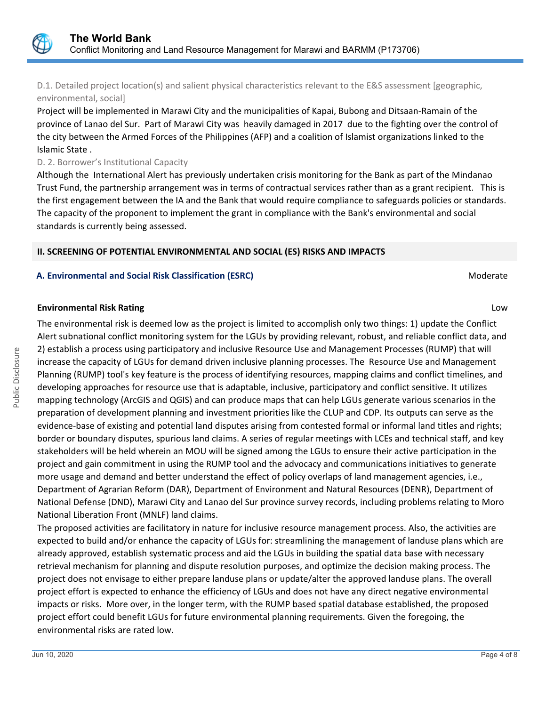

D.1. Detailed project location(s) and salient physical characteristics relevant to the E&S assessment [geographic, environmental, social]

Project will be implemented in Marawi City and the municipalities of Kapai, Bubong and Ditsaan-Ramain of the province of Lanao del Sur. Part of Marawi City was heavily damaged in 2017 due to the fighting over the control of the city between the Armed Forces of the Philippines (AFP) and a coalition of Islamist organizations linked to the Islamic State .

## D. 2. Borrower's Institutional Capacity

Although the International Alert has previously undertaken crisis monitoring for the Bank as part of the Mindanao Trust Fund, the partnership arrangement was in terms of contractual services rather than as a grant recipient. This is the first engagement between the IA and the Bank that would require compliance to safeguards policies or standards. The capacity of the proponent to implement the grant in compliance with the Bank's environmental and social standards is currently being assessed.

# **II. SCREENING OF POTENTIAL ENVIRONMENTAL AND SOCIAL (ES) RISKS AND IMPACTS**

## **A. Environmental and Social Risk Classification (ESRC) Moderate Social Analysis of Algebra** Moderate Moderate

## **Environmental Risk Rating** Low

The environmental risk is deemed low as the project is limited to accomplish only two things: 1) update the Conflict Alert subnational conflict monitoring system for the LGUs by providing relevant, robust, and reliable conflict data, and 2) establish a process using participatory and inclusive Resource Use and Management Processes (RUMP) that will increase the capacity of LGUs for demand driven inclusive planning processes. The Resource Use and Management Planning (RUMP) tool's key feature is the process of identifying resources, mapping claims and conflict timelines, and developing approaches for resource use that is adaptable, inclusive, participatory and conflict sensitive. It utilizes mapping technology (ArcGIS and QGIS) and can produce maps that can help LGUs generate various scenarios in the preparation of development planning and investment priorities like the CLUP and CDP. Its outputs can serve as the evidence-base of existing and potential land disputes arising from contested formal or informal land titles and rights; border or boundary disputes, spurious land claims. A series of regular meetings with LCEs and technical staff, and key stakeholders will be held wherein an MOU will be signed among the LGUs to ensure their active participation in the project and gain commitment in using the RUMP tool and the advocacy and communications initiatives to generate more usage and demand and better understand the effect of policy overlaps of land management agencies, i.e., Department of Agrarian Reform (DAR), Department of Environment and Natural Resources (DENR), Department of National Defense (DND), Marawi City and Lanao del Sur province survey records, including problems relating to Moro National Liberation Front (MNLF) land claims.

The proposed activities are facilitatory in nature for inclusive resource management process. Also, the activities are expected to build and/or enhance the capacity of LGUs for: streamlining the management of landuse plans which are already approved, establish systematic process and aid the LGUs in building the spatial data base with necessary retrieval mechanism for planning and dispute resolution purposes, and optimize the decision making process. The project does not envisage to either prepare landuse plans or update/alter the approved landuse plans. The overall project effort is expected to enhance the efficiency of LGUs and does not have any direct negative environmental impacts or risks. More over, in the longer term, with the RUMP based spatial database established, the proposed project effort could benefit LGUs for future environmental planning requirements. Given the foregoing, the environmental risks are rated low.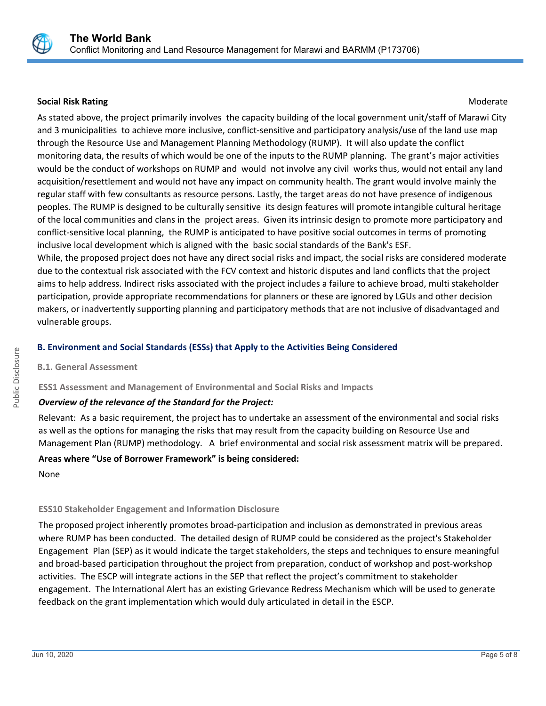

# **Social Risk Rating Moderate Social Risk Rating Moderate**  $M$

As stated above, the project primarily involves the capacity building of the local government unit/staff of Marawi City and 3 municipalities to achieve more inclusive, conflict-sensitive and participatory analysis/use of the land use map through the Resource Use and Management Planning Methodology (RUMP). It will also update the conflict monitoring data, the results of which would be one of the inputs to the RUMP planning. The grant's major activities would be the conduct of workshops on RUMP and would not involve any civil works thus, would not entail any land acquisition/resettlement and would not have any impact on community health. The grant would involve mainly the regular staff with few consultants as resource persons. Lastly, the target areas do not have presence of indigenous peoples. The RUMP is designed to be culturally sensitive its design features will promote intangible cultural heritage of the local communities and clans in the project areas. Given its intrinsic design to promote more participatory and conflict-sensitive local planning, the RUMP is anticipated to have positive social outcomes in terms of promoting inclusive local development which is aligned with the basic social standards of the Bank's ESF.

While, the proposed project does not have any direct social risks and impact, the social risks are considered moderate due to the contextual risk associated with the FCV context and historic disputes and land conflicts that the project aims to help address. Indirect risks associated with the project includes a failure to achieve broad, multi stakeholder participation, provide appropriate recommendations for planners or these are ignored by LGUs and other decision makers, or inadvertently supporting planning and participatory methods that are not inclusive of disadvantaged and vulnerable groups.

# **B. Environment and Social Standards (ESSs) that Apply to the Activities Being Considered**

# **B.1. General Assessment**

# **ESS1 Assessment and Management of Environmental and Social Risks and Impacts**

# *Overview of the relevance of the Standard for the Project:*

Relevant: As a basic requirement, the project has to undertake an assessment of the environmental and social risks as well as the options for managing the risks that may result from the capacity building on Resource Use and Management Plan (RUMP) methodology. A brief environmental and social risk assessment matrix will be prepared.

# **Areas where "Use of Borrower Framework" is being considered:**

None

# **ESS10 Stakeholder Engagement and Information Disclosure**

The proposed project inherently promotes broad-participation and inclusion as demonstrated in previous areas where RUMP has been conducted. The detailed design of RUMP could be considered as the project's Stakeholder Engagement Plan (SEP) as it would indicate the target stakeholders, the steps and techniques to ensure meaningful and broad-based participation throughout the project from preparation, conduct of workshop and post-workshop activities. The ESCP will integrate actions in the SEP that reflect the project's commitment to stakeholder engagement. The International Alert has an existing Grievance Redress Mechanism which will be used to generate feedback on the grant implementation which would duly articulated in detail in the ESCP.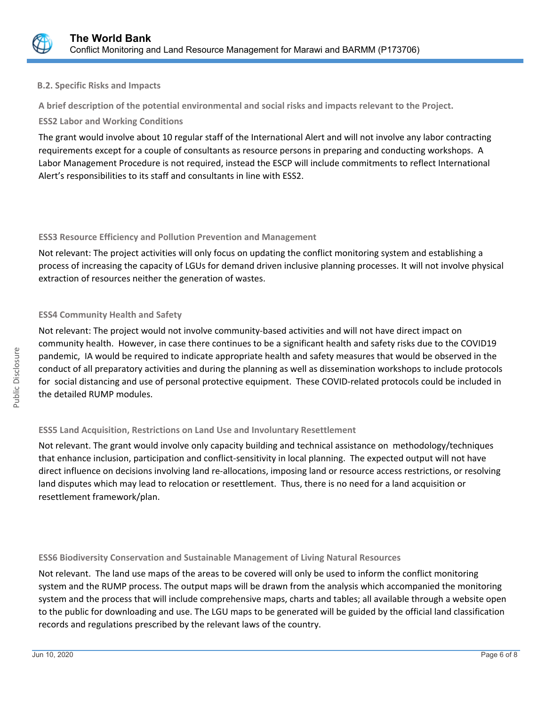

# **B.2. Specific Risks and Impacts**

**A brief description of the potential environmental and social risks and impacts relevant to the Project.**

# **ESS2 Labor and Working Conditions**

The grant would involve about 10 regular staff of the International Alert and will not involve any labor contracting requirements except for a couple of consultants as resource persons in preparing and conducting workshops. A Labor Management Procedure is not required, instead the ESCP will include commitments to reflect International Alert's responsibilities to its staff and consultants in line with ESS2.

# **ESS3 Resource Efficiency and Pollution Prevention and Management**

Not relevant: The project activities will only focus on updating the conflict monitoring system and establishing a process of increasing the capacity of LGUs for demand driven inclusive planning processes. It will not involve physical extraction of resources neither the generation of wastes.

# **ESS4 Community Health and Safety**

Not relevant: The project would not involve community-based activities and will not have direct impact on community health. However, in case there continues to be a significant health and safety risks due to the COVID19 pandemic, IA would be required to indicate appropriate health and safety measures that would be observed in the conduct of all preparatory activities and during the planning as well as dissemination workshops to include protocols for social distancing and use of personal protective equipment. These COVID-related protocols could be included in the detailed RUMP modules.

# **ESS5 Land Acquisition, Restrictions on Land Use and Involuntary Resettlement**

Not relevant. The grant would involve only capacity building and technical assistance on methodology/techniques that enhance inclusion, participation and conflict-sensitivity in local planning. The expected output will not have direct influence on decisions involving land re-allocations, imposing land or resource access restrictions, or resolving land disputes which may lead to relocation or resettlement. Thus, there is no need for a land acquisition or resettlement framework/plan.

# **ESS6 Biodiversity Conservation and Sustainable Management of Living Natural Resources**

Not relevant. The land use maps of the areas to be covered will only be used to inform the conflict monitoring system and the RUMP process. The output maps will be drawn from the analysis which accompanied the monitoring system and the process that will include comprehensive maps, charts and tables; all available through a website open to the public for downloading and use. The LGU maps to be generated will be guided by the official land classification records and regulations prescribed by the relevant laws of the country.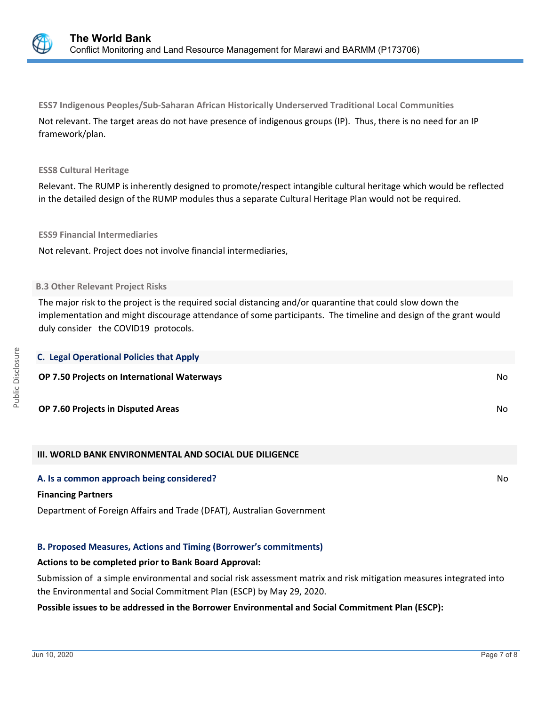

**ESS7 Indigenous Peoples/Sub-Saharan African Historically Underserved Traditional Local Communities** Not relevant. The target areas do not have presence of indigenous groups (IP). Thus, there is no need for an IP framework/plan.

#### **ESS8 Cultural Heritage**

Relevant. The RUMP is inherently designed to promote/respect intangible cultural heritage which would be reflected in the detailed design of the RUMP modules thus a separate Cultural Heritage Plan would not be required.

#### **ESS9 Financial Intermediaries**

Not relevant. Project does not involve financial intermediaries,

#### **B.3 Other Relevant Project Risks**

The major risk to the project is the required social distancing and/or quarantine that could slow down the implementation and might discourage attendance of some participants. The timeline and design of the grant would duly consider the COVID19 protocols.

| <b>C. Legal Operational Policies that Apply</b> |    |
|-------------------------------------------------|----|
| OP 7.50 Projects on International Waterways     | No |
| OP 7.60 Projects in Disputed Areas              | No |

# **III. WORLD BANK ENVIRONMENTAL AND SOCIAL DUE DILIGENCE**

#### **A. Is a common approach being considered?** No **No. 2018** No. 2018 No. 2018 No. 2018 No. 2018 No. 2019 No. 2019 No

#### **Financing Partners**

Department of Foreign Affairs and Trade (DFAT), Australian Government

# **B. Proposed Measures, Actions and Timing (Borrower's commitments)**

#### **Actions to be completed prior to Bank Board Approval:**

Submission of a simple environmental and social risk assessment matrix and risk mitigation measures integrated into the Environmental and Social Commitment Plan (ESCP) by May 29, 2020.

#### **Possible issues to be addressed in the Borrower Environmental and Social Commitment Plan (ESCP):**